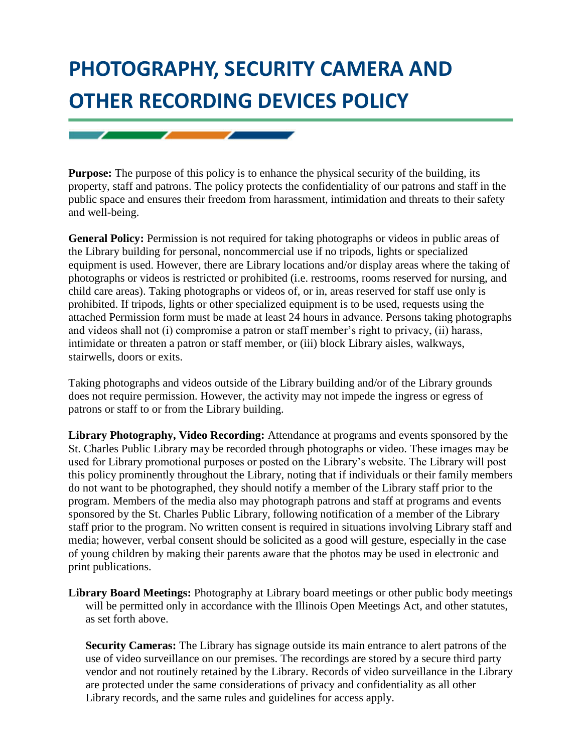## **PHOTOGRAPHY, SECURITY CAMERA AND OTHER RECORDING DEVICES POLICY**

 $\overline{\phantom{a}}$ 

 $\overline{\phantom{0}}$ 

**Purpose:** The purpose of this policy is to enhance the physical security of the building, its property, staff and patrons. The policy protects the confidentiality of our patrons and staff in the public space and ensures their freedom from harassment, intimidation and threats to their safety and well-being.

**General Policy:** Permission is not required for taking photographs or videos in public areas of the Library building for personal, noncommercial use if no tripods, lights or specialized equipment is used. However, there are Library locations and/or display areas where the taking of photographs or videos is restricted or prohibited (i.e. restrooms, rooms reserved for nursing, and child care areas). Taking photographs or videos of, or in, areas reserved for staff use only is prohibited. If tripods, lights or other specialized equipment is to be used, requests using the attached Permission form must be made at least 24 hours in advance. Persons taking photographs and videos shall not (i) compromise a patron or staff member's right to privacy, (ii) harass, intimidate or threaten a patron or staff member, or (iii) block Library aisles, walkways, stairwells, doors or exits.

Taking photographs and videos outside of the Library building and/or of the Library grounds does not require permission. However, the activity may not impede the ingress or egress of patrons or staff to or from the Library building.

**Library Photography, Video Recording:** Attendance at programs and events sponsored by the St. Charles Public Library may be recorded through photographs or video. These images may be used for Library promotional purposes or posted on the Library's website. The Library will post this policy prominently throughout the Library, noting that if individuals or their family members do not want to be photographed, they should notify a member of the Library staff prior to the program. Members of the media also may photograph patrons and staff at programs and events sponsored by the St. Charles Public Library, following notification of a member of the Library staff prior to the program. No written consent is required in situations involving Library staff and media; however, verbal consent should be solicited as a good will gesture, especially in the case of young children by making their parents aware that the photos may be used in electronic and print publications.

**Library Board Meetings:** Photography at Library board meetings or other public body meetings will be permitted only in accordance with the Illinois Open Meetings Act, and other statutes, as set forth above.

**Security Cameras:** The Library has signage outside its main entrance to alert patrons of the use of video surveillance on our premises. The recordings are stored by a secure third party vendor and not routinely retained by the Library. Records of video surveillance in the Library are protected under the same considerations of privacy and confidentiality as all other Library records, and the same rules and guidelines for access apply.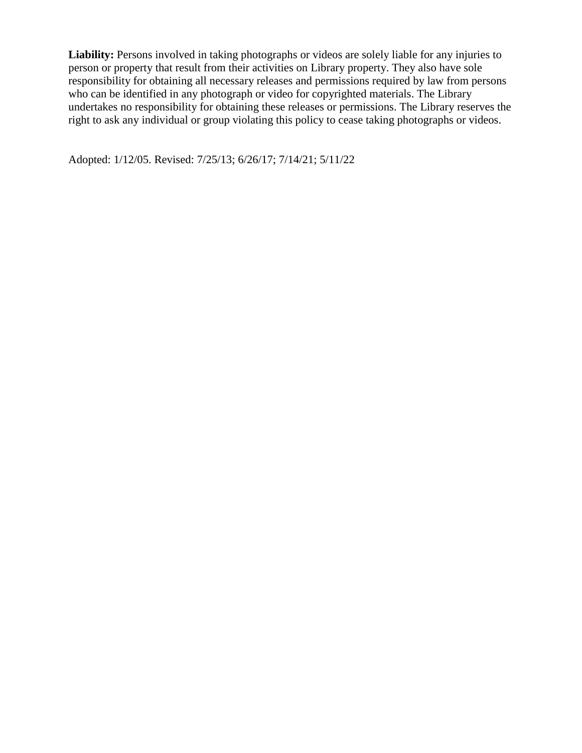Liability: Persons involved in taking photographs or videos are solely liable for any injuries to person or property that result from their activities on Library property. They also have sole responsibility for obtaining all necessary releases and permissions required by law from persons who can be identified in any photograph or video for copyrighted materials. The Library undertakes no responsibility for obtaining these releases or permissions. The Library reserves the right to ask any individual or group violating this policy to cease taking photographs or videos.

Adopted: 1/12/05. Revised: 7/25/13; 6/26/17; 7/14/21; 5/11/22